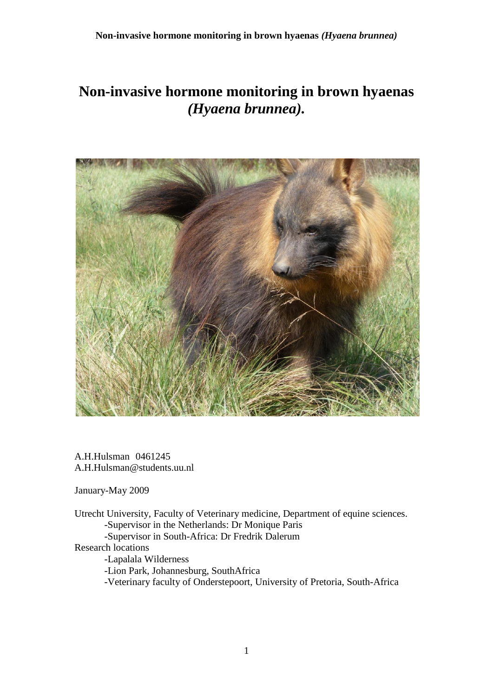# **Non-invasive hormone monitoring in brown hyaenas**  *(Hyaena brunnea).*



A.H.Hulsman 0461245 A.H.Hulsman@students.uu.nl

January-May 2009

Utrecht University, Faculty of Veterinary medicine, Department of equine sciences. -Supervisor in the Netherlands: Dr Monique Paris -Supervisor in South-Africa: Dr Fredrik Dalerum Research locations -Lapalala Wilderness -Lion Park, Johannesburg, SouthAfrica

-Veterinary faculty of Onderstepoort, University of Pretoria, South-Africa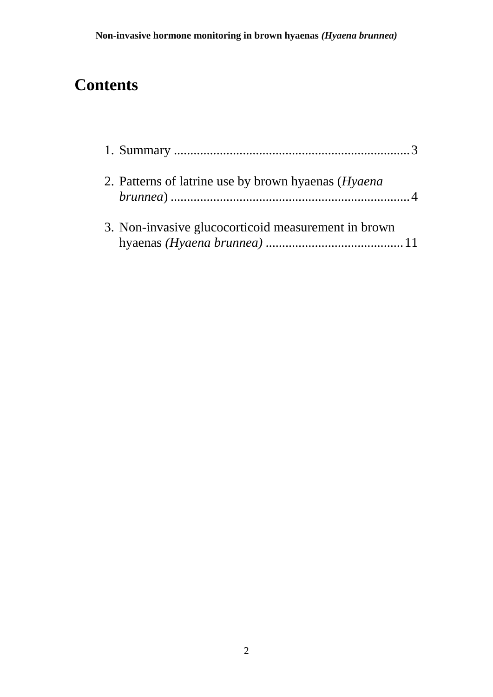# **Contents**

| 2. Patterns of latrine use by brown hyaenas ( <i>Hyaena</i> ) |  |
|---------------------------------------------------------------|--|
| 3. Non-invasive glucocorticoid measurement in brown           |  |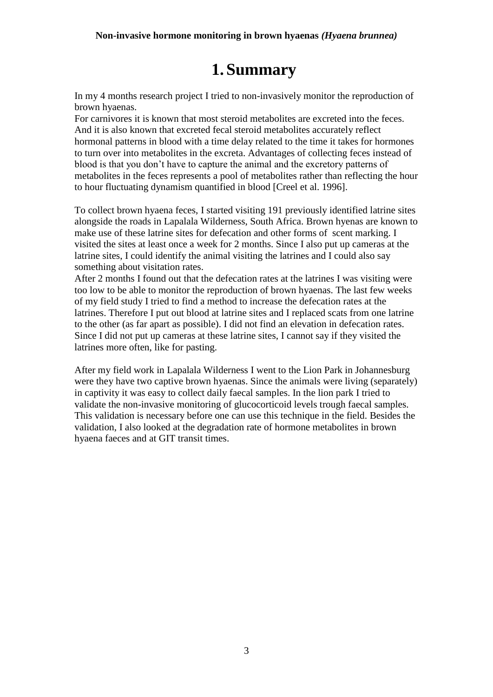#### **Non-invasive hormone monitoring in brown hyaenas** *(Hyaena brunnea)*

# **1. Summary**

<span id="page-2-0"></span>In my 4 months research project I tried to non-invasively monitor the reproduction of brown hyaenas.

For carnivores it is known that most steroid metabolites are excreted into the feces. And it is also known that excreted fecal steroid metabolites accurately reflect hormonal patterns in blood with a time delay related to the time it takes for hormones to turn over into metabolites in the excreta. Advantages of collecting feces instead of blood is that you don't have to capture the animal and the excretory patterns of metabolites in the feces represents a pool of metabolites rather than reflecting the hour to hour fluctuating dynamism quantified in blood [Creel et al. 1996].

To collect brown hyaena feces, I started visiting 191 previously identified latrine sites alongside the roads in Lapalala Wilderness, South Africa. Brown hyenas are known to make use of these latrine sites for defecation and other forms of scent marking. I visited the sites at least once a week for 2 months. Since I also put up cameras at the latrine sites, I could identify the animal visiting the latrines and I could also say something about visitation rates.

After 2 months I found out that the defecation rates at the latrines I was visiting were too low to be able to monitor the reproduction of brown hyaenas. The last few weeks of my field study I tried to find a method to increase the defecation rates at the latrines. Therefore I put out blood at latrine sites and I replaced scats from one latrine to the other (as far apart as possible). I did not find an elevation in defecation rates. Since I did not put up cameras at these latrine sites, I cannot say if they visited the latrines more often, like for pasting.

After my field work in Lapalala Wilderness I went to the Lion Park in Johannesburg were they have two captive brown hyaenas. Since the animals were living (separately) in captivity it was easy to collect daily faecal samples. In the lion park I tried to validate the non-invasive monitoring of glucocorticoid levels trough faecal samples. This validation is necessary before one can use this technique in the field. Besides the validation, I also looked at the degradation rate of hormone metabolites in brown hyaena faeces and at GIT transit times.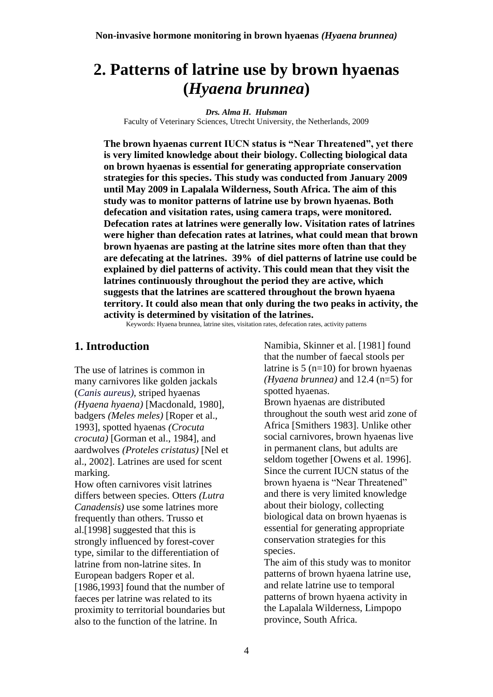# <span id="page-3-0"></span>**2. Patterns of latrine use by brown hyaenas (***Hyaena brunnea***)**

*Drs. Alma H. Hulsman*

Faculty of Veterinary Sciences, Utrecht University, the Netherlands, 2009

**The brown hyaenas current IUCN status is "Near Threatened", yet there is very limited knowledge about their biology. Collecting biological data on brown hyaenas is essential for generating appropriate conservation strategies for this species. This study was conducted from January 2009 until May 2009 in Lapalala Wilderness, South Africa. The aim of this study was to monitor patterns of latrine use by brown hyaenas. Both defecation and visitation rates, using camera traps, were monitored. Defecation rates at latrines were generally low. Visitation rates of latrines were higher than defecation rates at latrines, what could mean that brown brown hyaenas are pasting at the latrine sites more often than that they are defecating at the latrines. 39% of diel patterns of latrine use could be explained by diel patterns of activity. This could mean that they visit the latrines continuously throughout the period they are active, which suggests that the latrines are scattered throughout the brown hyaena territory. It could also mean that only during the two peaks in activity, the activity is determined by visitation of the latrines.** 

Keywords: Hyaena brunnea, latrine sites, visitation rates, defecation rates, activity patterns

### **1. Introduction**

The use of latrines is common in many carnivores like golden jackals (*Canis aureus)*, striped hyaenas *(Hyaena hyaena)* [Macdonald, 1980], badgers *(Meles meles)* [Roper et al., 1993], spotted hyaenas *(Crocuta crocuta)* [Gorman et al., 1984], and aardwolves *(Proteles cristatus)* [Nel et al., 2002]. Latrines are used for scent marking.

How often carnivores visit latrines differs between species. Otters *(Lutra Canadensis)* use some latrines more frequently than others. Trusso et al.[1998] suggested that this is strongly influenced by forest-cover type, similar to the differentiation of latrine from non-latrine sites. In European badgers Roper et al. [1986,1993] found that the number of faeces per latrine was related to its proximity to territorial boundaries but also to the function of the latrine. In

Namibia, Skinner et al. [1981] found that the number of faecal stools per latrine is  $5 \frac{(n=10)}{n}$  for brown hyaenas *(Hyaena brunnea)* and 12.4 (n=5) for spotted hyaenas.

Brown hyaenas are distributed throughout the south west arid zone of Africa [Smithers 1983]. Unlike other social carnivores, brown hyaenas live in permanent clans, but adults are seldom together [Owens et al. 1996]. Since the current IUCN status of the brown hyaena is "Near Threatened" and there is very limited knowledge about their biology, collecting biological data on brown hyaenas is essential for generating appropriate conservation strategies for this species.

The aim of this study was to monitor patterns of brown hyaena latrine use, and relate latrine use to temporal patterns of brown hyaena activity in the Lapalala Wilderness, Limpopo province, South Africa.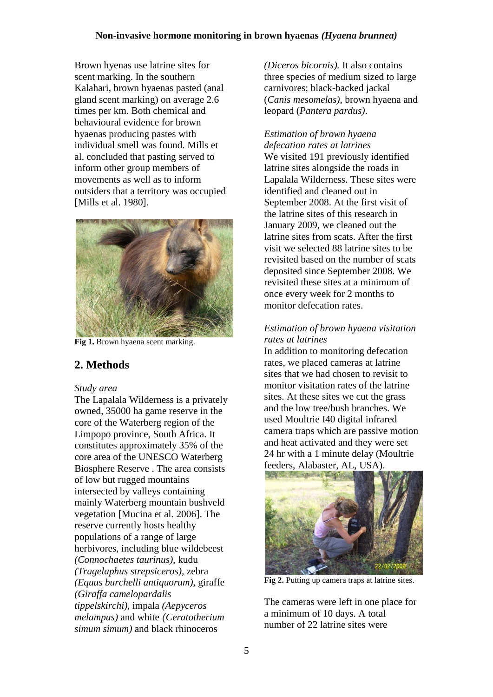Brown hyenas use latrine sites for scent marking. In the southern Kalahari, brown hyaenas pasted (anal gland scent marking) on average 2.6 times per km. Both chemical and behavioural evidence for brown hyaenas producing pastes with individual smell was found. Mills et al. concluded that pasting served to inform other group members of movements as well as to inform outsiders that a territory was occupied [Mills et al. 1980].



Fig 1. Brown hyaena scent marking.

# **2. Methods**

### *Study area*

The Lapalala Wilderness is a privately owned, 35000 ha game reserve in the core of the Waterberg region of the Limpopo province, South Africa. It constitutes approximately 35% of the core area of the UNESCO Waterberg Biosphere Reserve . The area consists of low but rugged mountains intersected by valleys containing mainly Waterberg mountain bushveld vegetation [Mucina et al. 2006]. The reserve currently hosts healthy populations of a range of large herbivores, including blue wildebeest *(Connochaetes taurinus),* kudu *(Tragelaphus strepsiceros),* zebra *(Equus burchelli antiquorum),* giraffe *(Giraffa camelopardalis tippelskirchi),* impala *(Aepyceros melampus)* and white *(Ceratotherium simum simum)* and black rhinoceros

*(Diceros bicornis).* It also contains three species of medium sized to large carnivores; black-backed jackal (*Canis mesomelas)*, brown hyaena and leopard (*Pantera pardus)*.

*Estimation of brown hyaena defecation rates at latrines* We visited 191 previously identified latrine sites alongside the roads in Lapalala Wilderness. These sites were identified and cleaned out in September 2008. At the first visit of the latrine sites of this research in January 2009, we cleaned out the latrine sites from scats. After the first visit we selected 88 latrine sites to be revisited based on the number of scats deposited since September 2008. We revisited these sites at a minimum of once every week for 2 months to monitor defecation rates.

## *Estimation of brown hyaena visitation rates at latrines*

In addition to monitoring defecation rates, we placed cameras at latrine sites that we had chosen to revisit to monitor visitation rates of the latrine sites. At these sites we cut the grass and the low tree/bush branches. We used Moultrie I40 digital infrared camera traps which are passive motion and heat activated and they were set 24 hr with a 1 minute delay (Moultrie feeders, Alabaster, AL, USA).



**Fig 2.** Putting up camera traps at latrine sites.

The cameras were left in one place for a minimum of 10 days. A total number of 22 latrine sites were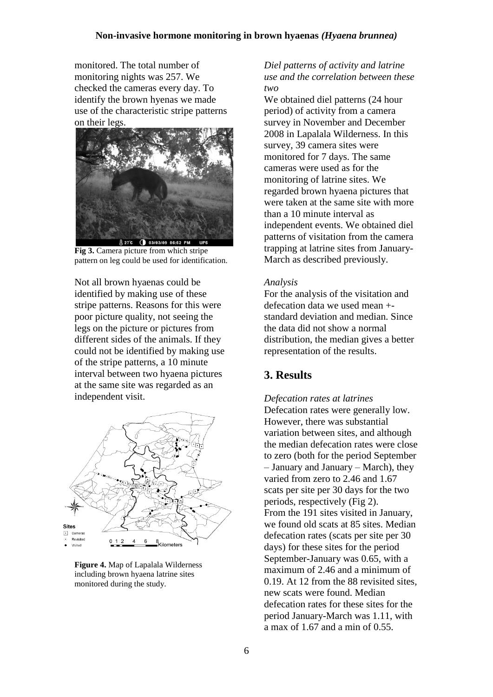monitored. The total number of monitoring nights was 257. We checked the cameras every day. To identify the brown hyenas we made use of the characteristic stripe patterns on their legs.



**Fig 3.** Camera picture from which stripe pattern on leg could be used for identification.

Not all brown hyaenas could be identified by making use of these stripe patterns. Reasons for this were poor picture quality, not seeing the legs on the picture or pictures from different sides of the animals. If they could not be identified by making use of the stripe patterns, a 10 minute interval between two hyaena pictures at the same site was regarded as an independent visit.



**Figure 4.** Map of Lapalala Wilderness including brown hyaena latrine sites monitored during the study.

*Diel patterns of activity and latrine use and the correlation between these two*

We obtained diel patterns (24 hour period) of activity from a camera survey in November and December 2008 in Lapalala Wilderness. In this survey, 39 camera sites were monitored for 7 days. The same cameras were used as for the monitoring of latrine sites. We regarded brown hyaena pictures that were taken at the same site with more than a 10 minute interval as independent events. We obtained diel patterns of visitation from the camera trapping at latrine sites from January-March as described previously.

#### *Analysis*

For the analysis of the visitation and defecation data we used mean + standard deviation and median. Since the data did not show a normal distribution, the median gives a better representation of the results.

## **3. Results**

*Defecation rates at latrines* Defecation rates were generally low. However, there was substantial variation between sites, and although the median defecation rates were close to zero (both for the period September – January and January – March), they varied from zero to 2.46 and 1.67 scats per site per 30 days for the two periods, respectively (Fig 2). From the 191 sites visited in January, we found old scats at 85 sites. Median defecation rates (scats per site per 30 days) for these sites for the period September-January was 0.65, with a maximum of 2.46 and a minimum of 0.19. At 12 from the 88 revisited sites, new scats were found. Median defecation rates for these sites for the period January-March was 1.11, with a max of 1.67 and a min of 0.55.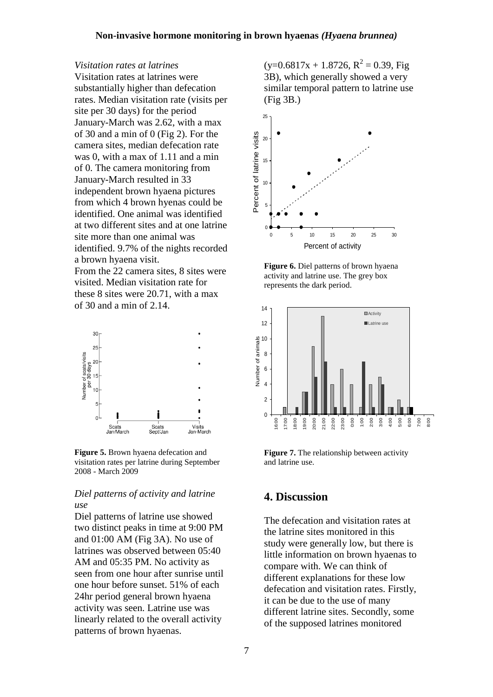#### *Visitation rates at latrines*

Visitation rates at latrines were substantially higher than defecation rates. Median visitation rate (visits per site per 30 days) for the period January-March was 2.62, with a max of 30 and a min of 0 (Fig 2). For the camera sites, median defecation rate was 0, with a max of 1.11 and a min of 0. The camera monitoring from January-March resulted in 33 independent brown hyaena pictures from which 4 brown hyenas could be identified. One animal was identified at two different sites and at one latrine site more than one animal was identified. 9.7% of the nights recorded a brown hyaena visit. From the 22 camera sites, 8 sites were visited. Median visitation rate for these 8 sites were 20.71, with a max of 30 and a min of 2.14.



**Figure 5.** Brown hyaena defecation and visitation rates per latrine during September 2008 - March 2009

#### *Diel patterns of activity and latrine use*

Diel patterns of latrine use showed two distinct peaks in time at 9:00 PM and 01:00 AM (Fig 3A). No use of latrines was observed between 05:40 AM and 05:35 PM. No activity as seen from one hour after sunrise until one hour before sunset. 51% of each 24hr period general brown hyaena activity was seen. Latrine use was linearly related to the overall activity patterns of brown hyaenas.

 $(y=0.6817x + 1.8726, R^2 = 0.39, Fig$ 3B), which generally showed a very similar temporal pattern to latrine use (Fig 3B.)



**Figure 6.** Diel patterns of brown hyaena activity and latrine use. The grey box represents the dark period.



**Figure 7.** The relationship between activity and latrine use.

## **4. Discussion**

The defecation and visitation rates at the latrine sites monitored in this study were generally low, but there is little information on brown hyaenas to compare with. We can think of different explanations for these low defecation and visitation rates. Firstly, it can be due to the use of many different latrine sites. Secondly, some of the supposed latrines monitored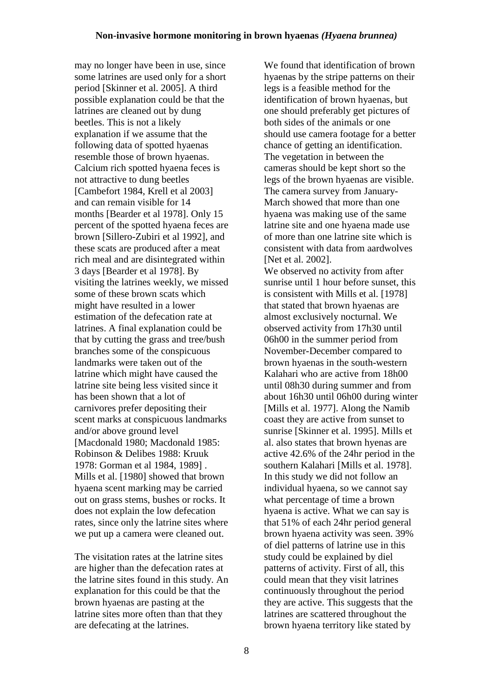may no longer have been in use, since some latrines are used only for a short period [Skinner et al. 2005]. A third possible explanation could be that the latrines are cleaned out by dung beetles. This is not a likely explanation if we assume that the following data of spotted hyaenas resemble those of brown hyaenas. Calcium rich spotted hyaena feces is not attractive to dung beetles [Cambefort 1984, Krell et al 2003] and can remain visible for 14 months [Bearder et al 1978]. Only 15 percent of the spotted hyaena feces are brown [Sillero-Zubiri et al 1992], and these scats are produced after a meat rich meal and are disintegrated within 3 days [Bearder et al 1978]. By visiting the latrines weekly, we missed some of these brown scats which might have resulted in a lower estimation of the defecation rate at latrines. A final explanation could be that by cutting the grass and tree/bush branches some of the conspicuous landmarks were taken out of the latrine which might have caused the latrine site being less visited since it has been shown that a lot of carnivores prefer depositing their scent marks at conspicuous landmarks and/or above ground level [Macdonald 1980; Macdonald 1985: Robinson & Delibes 1988: Kruuk 1978: Gorman et al 1984, 1989] . Mills et al. [1980] showed that brown hyaena scent marking may be carried out on grass stems, bushes or rocks. It does not explain the low defecation rates, since only the latrine sites where we put up a camera were cleaned out.

The visitation rates at the latrine sites are higher than the defecation rates at the latrine sites found in this study. An explanation for this could be that the brown hyaenas are pasting at the latrine sites more often than that they are defecating at the latrines.

We found that identification of brown hyaenas by the stripe patterns on their legs is a feasible method for the identification of brown hyaenas, but one should preferably get pictures of both sides of the animals or one should use camera footage for a better chance of getting an identification. The vegetation in between the cameras should be kept short so the legs of the brown hyaenas are visible. The camera survey from January-March showed that more than one hyaena was making use of the same latrine site and one hyaena made use of more than one latrine site which is consistent with data from aardwolves [Net et al. 2002]. We observed no activity from after sunrise until 1 hour before sunset, this is consistent with Mills et al. [1978] that stated that brown hyaenas are almost exclusively nocturnal. We observed activity from 17h30 until 06h00 in the summer period from November-December compared to brown hyaenas in the south-western Kalahari who are active from 18h00 until 08h30 during summer and from about 16h30 until 06h00 during winter [Mills et al. 1977]. Along the Namib coast they are active from sunset to sunrise [Skinner et al. 1995]. Mills et al. also states that brown hyenas are active 42.6% of the 24hr period in the southern Kalahari [Mills et al. 1978]. In this study we did not follow an individual hyaena, so we cannot say what percentage of time a brown hyaena is active. What we can say is that 51% of each 24hr period general brown hyaena activity was seen. 39% of diel patterns of latrine use in this study could be explained by diel patterns of activity. First of all, this could mean that they visit latrines continuously throughout the period they are active. This suggests that the latrines are scattered throughout the

brown hyaena territory like stated by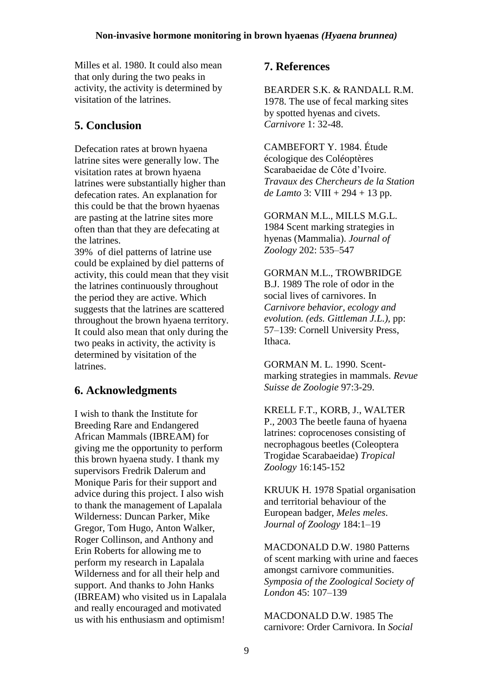Milles et al. 1980. It could also mean that only during the two peaks in activity, the activity is determined by visitation of the latrines.

# **5. Conclusion**

Defecation rates at brown hyaena latrine sites were generally low. The visitation rates at brown hyaena latrines were substantially higher than defecation rates. An explanation for this could be that the brown hyaenas are pasting at the latrine sites more often than that they are defecating at the latrines.

39% of diel patterns of latrine use could be explained by diel patterns of activity, this could mean that they visit the latrines continuously throughout the period they are active. Which suggests that the latrines are scattered throughout the brown hyaena territory. It could also mean that only during the two peaks in activity, the activity is determined by visitation of the latrines.

# **6. Acknowledgments**

I wish to thank the Institute for Breeding Rare and Endangered African Mammals (IBREAM) for giving me the opportunity to perform this brown hyaena study. I thank my supervisors Fredrik Dalerum and Monique Paris for their support and advice during this project. I also wish to thank the management of Lapalala Wilderness: Duncan Parker, Mike Gregor, Tom Hugo, Anton Walker, Roger Collinson, and Anthony and Erin Roberts for allowing me to perform my research in Lapalala Wilderness and for all their help and support. And thanks to John Hanks (IBREAM) who visited us in Lapalala and really encouraged and motivated us with his enthusiasm and optimism!

# **7. References**

BEARDER S.K. & RANDALL R.M. 1978. The use of fecal marking sites by spotted hyenas and civets. *Carnivore* 1: 32-48.

CAMBEFORT Y. 1984. Étude écologique des Coléoptères Scarabaeidae de Côte d'Ivoire. *Travaux des Chercheurs de la Station de Lamto* 3: VIII + 294 + 13 pp.

GORMAN M.L., MILLS M.G.L. 1984 Scent marking strategies in hyenas (Mammalia). *Journal of Zoology* 202: 535–547

GORMAN M.L., TROWBRIDGE B.J. 1989 The role of odor in the social lives of carnivores. In *Carnivore behavior, ecology and evolution. (eds. Gittleman J.L.),* pp: 57–139: Cornell University Press, Ithaca.

GORMAN M. L. 1990. Scentmarking strategies in mammals. *Revue Suisse de Zoologie* 97:3-29.

KRELL F.T., KORB, J., WALTER P., 2003 The beetle fauna of hyaena latrines: coprocenoses consisting of necrophagous beetles (Coleoptera Trogidae Scarabaeidae) *Tropical Zoology* 16:145-152

KRUUK H. 1978 Spatial organisation and territorial behaviour of the European badger, *Meles meles*. *Journal of Zoology* 184:1–19

MACDONALD D.W. 1980 Patterns of scent marking with urine and faeces amongst carnivore communities. *Symposia of the Zoological Society of London* 45: 107–139

MACDONALD D.W. 1985 The carnivore: Order Carnivora. In *Social*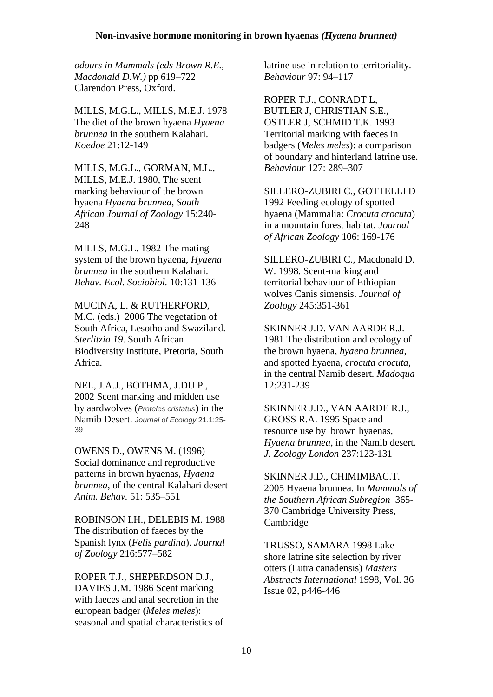#### **Non-invasive hormone monitoring in brown hyaenas** *(Hyaena brunnea)*

*odours in Mammals (eds Brown R.E., Macdonald D.W.)* pp 619–722 Clarendon Press, Oxford.

MILLS, M.G.L., MILLS, M.E.J. 1978 The diet of the brown hyaena *Hyaena brunnea* in the southern Kalahari. *Koedoe* 21:12-149

MILLS, M.G.L., GORMAN, M.L., MILLS, M.E.J. 1980, The scent marking behaviour of the brown hyaena *Hyaena brunnea, South African Journal of Zoology* 15:240- 248

MILLS, M.G.L. 1982 The mating system of the brown hyaena, *Hyaena brunnea* in the southern Kalahari. *Behav. Ecol. Sociobiol.* 10:131-136

MUCINA, L. & RUTHERFORD, M.C. (eds.) 2006 The vegetation of South Africa, Lesotho and Swaziland. *Sterlitzia 19*. South African Biodiversity Institute, Pretoria, South Africa.

NEL, J.A.J., BOTHMA, J.DU P., 2002 Scent marking and midden use by aardwolves (*Proteles cristatus***)** in the Namib Desert. *Journal of Ecology* 21.1:25- 39

OWENS D., OWENS M. (1996) Social dominance and reproductive patterns in brown hyaenas, *Hyaena brunnea*, of the central Kalahari desert *Anim. Behav.* 51: 535–551

ROBINSON I.H., DELEBIS M. 1988 The distribution of faeces by the Spanish lynx (*Felis pardina*). *Journal of Zoology* 216:577–582

ROPER T.J., SHEPERDSON D.J., DAVIES J.M. 1986 Scent marking with faeces and anal secretion in the european badger (*Meles meles*): seasonal and spatial characteristics of latrine use in relation to territoriality. *Behaviour* 97: 94–117

ROPER T.J., CONRADT L, BUTLER J, CHRISTIAN S.E., OSTLER J, SCHMID T.K. 1993 Territorial marking with faeces in badgers (*Meles meles*): a comparison of boundary and hinterland latrine use. *Behaviour* 127: 289–307

SILLERO-ZUBIRI C., GOTTELLI D 1992 Feeding ecology of spotted hyaena (Mammalia: *Crocuta crocuta*) in a mountain forest habitat. *Journal of African Zoology* 106: 169-176

SILLERO-ZUBIRI C., Macdonald D. W. 1998. Scent-marking and territorial behaviour of Ethiopian wolves Canis simensis. *Journal of Zoology* 245:351-361

SKINNER J.D. VAN AARDE R.J. 1981 The distribution and ecology of the brown hyaena, *hyaena brunnea,* and spotted hyaena*, crocuta crocuta,*  in the central Namib desert. *Madoqua*  12:231-239

SKINNER J.D., VAN AARDE R.J., GROSS R.A. 1995 Space and resource use by brown hyaenas, *Hyaena brunnea,* in the Namib desert. *J. Zoology London* 237:123-131

SKINNER J.D., CHIMIMBAC.T. 2005 Hyaena brunnea. In *Mammals of the Southern African Subregion* 365- 370 [Cambridge University Press,](http://www.nhbs.com/browse.php?pub=67) Cambridge

TRUSSO, SAMARA 1998 Lake shore latrine site selection by river otters (Lutra canadensis) *Masters Abstracts International* 1998, Vol. 36 Issue 02, p446-446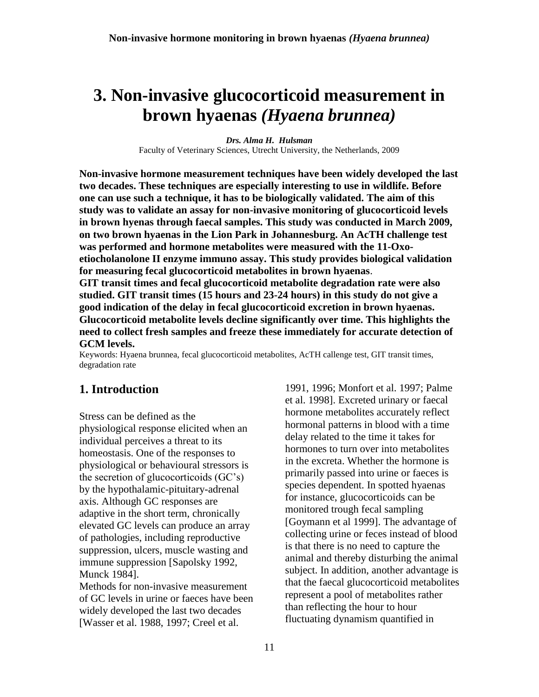# <span id="page-10-0"></span>**3. Non-invasive glucocorticoid measurement in brown hyaenas** *(Hyaena brunnea)*

*Drs. Alma H. Hulsman* Faculty of Veterinary Sciences, Utrecht University, the Netherlands, 2009

**Non-invasive hormone measurement techniques have been widely developed the last two decades. These techniques are especially interesting to use in wildlife. Before one can use such a technique, it has to be biologically validated. The aim of this study was to validate an assay for non-invasive monitoring of glucocorticoid levels in brown hyenas through faecal samples. This study was conducted in March 2009, on two brown hyaenas in the Lion Park in Johannesburg. An AcTH challenge test was performed and hormone metabolites were measured with the 11-Oxoetiocholanolone II enzyme immuno assay. This study provides biological validation for measuring fecal glucocorticoid metabolites in brown hyaenas**. **GIT transit times and fecal glucocorticoid metabolite degradation rate were also** 

**studied. GIT transit times (15 hours and 23-24 hours) in this study do not give a good indication of the delay in fecal glucocorticoid excretion in brown hyaenas. Glucocorticoid metabolite levels decline significantly over time. This highlights the need to collect fresh samples and freeze these immediately for accurate detection of GCM levels.**

Keywords: Hyaena brunnea, fecal glucocorticoid metabolites, AcTH callenge test, GIT transit times, degradation rate

## **1. Introduction**

Stress can be defined as the physiological response elicited when an individual perceives a threat to its homeostasis. One of the responses to physiological or behavioural stressors is the secretion of glucocorticoids (GC's) by the hypothalamic-pituitary-adrenal axis. Although GC responses are adaptive in the short term, chronically elevated GC levels can produce an array of pathologies, including reproductive suppression, ulcers, muscle wasting and immune suppression [Sapolsky 1992, Munck 1984].

Methods for non-invasive measurement of GC levels in urine or faeces have been widely developed the last two decades [Wasser et al. 1988, 1997; Creel et al.

1991, 1996; Monfort et al. 1997; Palme et al. 1998]. Excreted urinary or faecal hormone metabolites accurately reflect hormonal patterns in blood with a time delay related to the time it takes for hormones to turn over into metabolites in the excreta. Whether the hormone is primarily passed into urine or faeces is species dependent. In spotted hyaenas for instance, glucocorticoids can be monitored trough fecal sampling [Goymann et al 1999]. The advantage of collecting urine or feces instead of blood is that there is no need to capture the animal and thereby disturbing the animal subject. In addition, another advantage is that the faecal glucocorticoid metabolites represent a pool of metabolites rather than reflecting the hour to hour fluctuating dynamism quantified in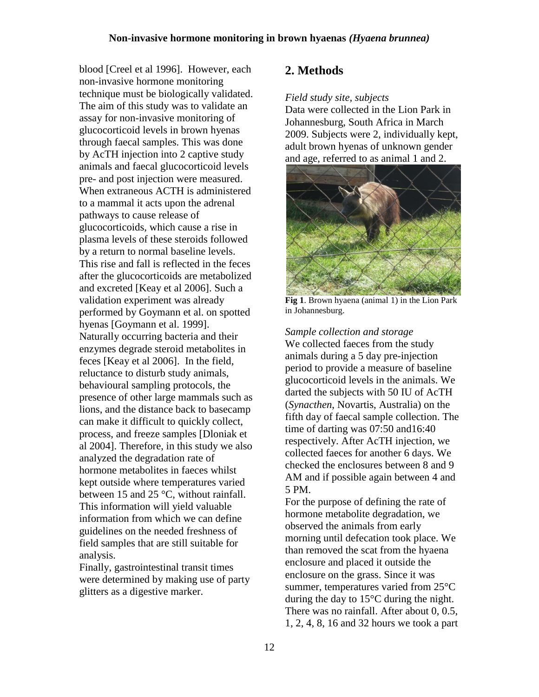blood [Creel et al 1996]. However, each non-invasive hormone monitoring technique must be biologically validated. The aim of this study was to validate an assay for non-invasive monitoring of glucocorticoid levels in brown hyenas through faecal samples. This was done by AcTH injection into 2 captive study animals and faecal glucocorticoid levels pre- and post injection were measured. When extraneous ACTH is administered to a mammal it acts upon the adrenal pathways to cause release of glucocorticoids, which cause a rise in plasma levels of these steroids followed by a return to normal baseline levels. This rise and fall is reflected in the feces after the glucocorticoids are metabolized and excreted [Keay et al 2006]. Such a validation experiment was already performed by Goymann et al. on spotted hyenas [Goymann et al. 1999]. Naturally occurring bacteria and their enzymes degrade steroid metabolites in feces [Keay et al 2006]. In the field, reluctance to disturb study animals, behavioural sampling protocols, the presence of other large mammals such as lions, and the distance back to basecamp can make it difficult to quickly collect, process, and freeze samples [Dloniak et al 2004]. Therefore, in this study we also analyzed the degradation rate of hormone metabolites in faeces whilst kept outside where temperatures varied between 15 and 25 °C, without rainfall. This information will yield valuable information from which we can define guidelines on the needed freshness of field samples that are still suitable for analysis.

Finally, gastrointestinal transit times were determined by making use of party glitters as a digestive marker.

## **2. Methods**

#### *Field study site, subjects*

Data were collected in the Lion Park in Johannesburg, South Africa in March 2009. Subjects were 2, individually kept, adult brown hyenas of unknown gender and age, referred to as animal 1 and 2.



**Fig 1**. Brown hyaena (animal 1) in the Lion Park in Johannesburg.

*Sample collection and storage* We collected faeces from the study animals during a 5 day pre-injection period to provide a measure of baseline glucocorticoid levels in the animals. We darted the subjects with 50 IU of AcTH (*Synacthen*, Novartis, Australia) on the fifth day of faecal sample collection. The time of darting was 07:50 and16:40 respectively. After AcTH injection, we collected faeces for another 6 days. We checked the enclosures between 8 and 9 AM and if possible again between 4 and 5 PM.

For the purpose of defining the rate of hormone metabolite degradation, we observed the animals from early morning until defecation took place. We than removed the scat from the hyaena enclosure and placed it outside the enclosure on the grass. Since it was summer, temperatures varied from 25°C during the day to 15°C during the night. There was no rainfall. After about 0, 0.5, 1, 2, 4, 8, 16 and 32 hours we took a part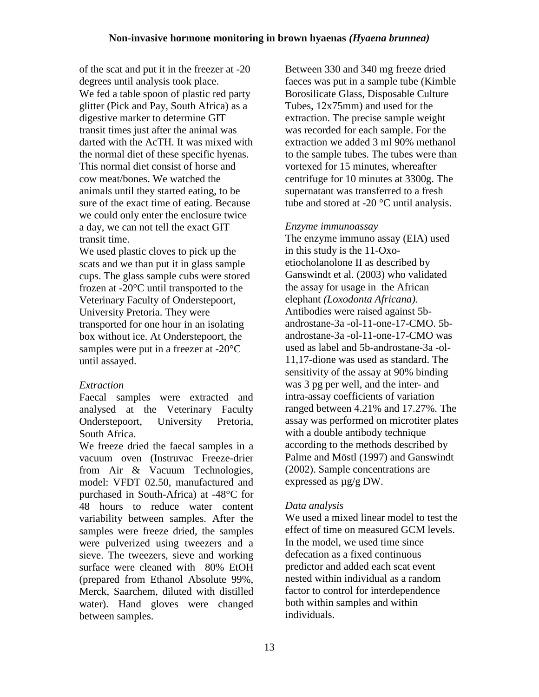of the scat and put it in the freezer at -20 degrees until analysis took place. We fed a table spoon of plastic red party glitter (Pick and Pay, South Africa) as a digestive marker to determine GIT transit times just after the animal was darted with the AcTH. It was mixed with the normal diet of these specific hyenas. This normal diet consist of horse and cow meat/bones. We watched the animals until they started eating, to be sure of the exact time of eating. Because we could only enter the enclosure twice a day, we can not tell the exact GIT transit time.

We used plastic cloves to pick up the scats and we than put it in glass sample cups. The glass sample cubs were stored frozen at -20°C until transported to the Veterinary Faculty of Onderstepoort, University Pretoria. They were transported for one hour in an isolating box without ice. At Onderstepoort, the samples were put in a freezer at -20°C until assayed.

### *Extraction*

Faecal samples were extracted and analysed at the Veterinary Faculty Onderstepoort, University Pretoria, South Africa.

We freeze dried the faecal samples in a vacuum oven (Instruvac Freeze-drier from Air & Vacuum Technologies, model: VFDT 02.50, manufactured and purchased in South-Africa) at -48°C for 48 hours to reduce water content variability between samples. After the samples were freeze dried, the samples were pulverized using tweezers and a sieve. The tweezers, sieve and working surface were cleaned with 80% EtOH (prepared from Ethanol Absolute 99%, Merck, Saarchem, diluted with distilled water). Hand gloves were changed between samples.

Between 330 and 340 mg freeze dried faeces was put in a sample tube (Kimble Borosilicate Glass, Disposable Culture Tubes, 12x75mm) and used for the extraction. The precise sample weight was recorded for each sample. For the extraction we added 3 ml 90% methanol to the sample tubes. The tubes were than vortexed for 15 minutes, whereafter centrifuge for 10 minutes at 3300g. The supernatant was transferred to a fresh tube and stored at -20 °C until analysis.

### *Enzyme immunoassay*

The enzyme immuno assay (EIA) used in this study is the 11-Oxoetiocholanolone II as described by Ganswindt et al. (2003) who validated the assay for usage in the African elephant *(Loxodonta Africana).* Antibodies were raised against 5bandrostane-3a -ol-11-one-17-CMO. 5bandrostane-3a -ol-11-one-17-CMO was used as label and 5b-androstane-3a -ol-11,17-dione was used as standard. The sensitivity of the assay at 90% binding was 3 pg per well, and the inter- and intra-assay coefficients of variation ranged between 4.21% and 17.27%. The assay was performed on microtiter plates with a double antibody technique according to the methods described by Palme and Möstl (1997) and Ganswindt (2002). Sample concentrations are expressed as µg/g DW.

### *Data analysis*

We used a mixed linear model to test the effect of time on measured GCM levels. In the model, we used time since defecation as a fixed continuous predictor and added each scat event nested within individual as a random factor to control for interdependence both within samples and within individuals.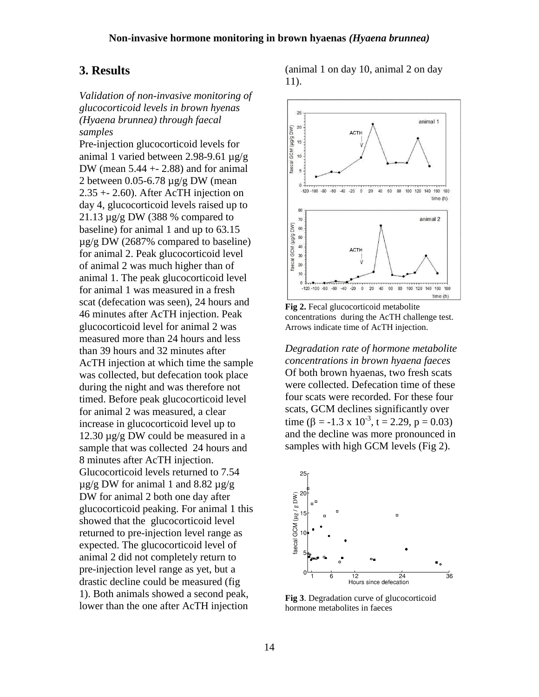## **3. Results**

*Validation of non-invasive monitoring of glucocorticoid levels in brown hyenas (Hyaena brunnea) through faecal samples*

Pre-injection glucocorticoid levels for animal 1 varied between 2.98-9.61 µg/g DW (mean  $5.44 + 2.88$ ) and for animal 2 between 0.05-6.78 µg/g DW (mean 2.35 +- 2.60). After AcTH injection on day 4, glucocorticoid levels raised up to 21.13  $\mu$ g/g DW (388 % compared to baseline) for animal 1 and up to 63.15 µg/g DW (2687% compared to baseline) for animal 2. Peak glucocorticoid level of animal 2 was much higher than of animal 1. The peak glucocorticoid level for animal 1 was measured in a fresh scat (defecation was seen), 24 hours and 46 minutes after AcTH injection. Peak glucocorticoid level for animal 2 was measured more than 24 hours and less than 39 hours and 32 minutes after AcTH injection at which time the sample was collected, but defecation took place during the night and was therefore not timed. Before peak glucocorticoid level for animal 2 was measured, a clear increase in glucocorticoid level up to 12.30  $\mu$ g/g DW could be measured in a sample that was collected 24 hours and 8 minutes after AcTH injection. Glucocorticoid levels returned to 7.54  $\mu$ g/g DW for animal 1 and 8.82  $\mu$ g/g DW for animal 2 both one day after glucocorticoid peaking. For animal 1 this showed that the glucocorticoid level returned to pre-injection level range as expected. The glucocorticoid level of animal 2 did not completely return to pre-injection level range as yet, but a drastic decline could be measured (fig 1). Both animals showed a second peak, lower than the one after AcTH injection

(animal 1 on day 10, animal 2 on day 11).



**Fig 2.** Fecal glucocorticoid metabolite concentrations during the AcTH challenge test. Arrows indicate time of AcTH injection.

*Degradation rate of hormone metabolite concentrations in brown hyaena faeces* Of both brown hyaenas, two fresh scats were collected. Defecation time of these four scats were recorded. For these four scats, GCM declines significantly over time  $(\beta = -1.3 \times 10^{-3}, t = 2.29, p = 0.03)$ and the decline was more pronounced in samples with high GCM levels (Fig 2).



**Fig 3**. Degradation curve of glucocorticoid hormone metabolites in faeces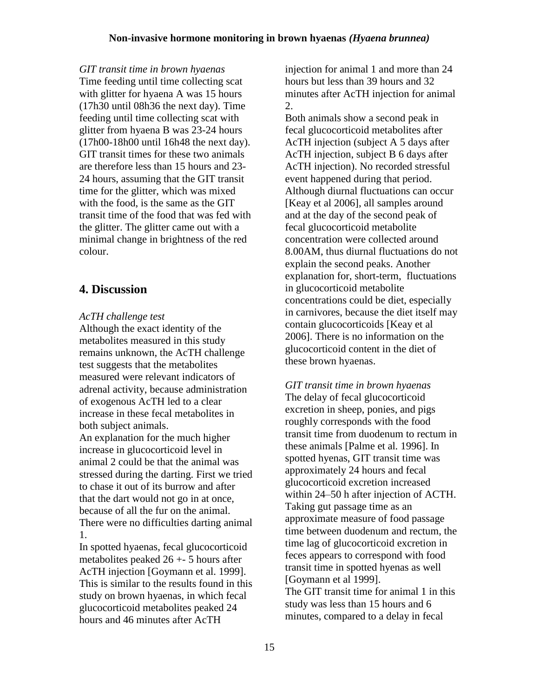*GIT transit time in brown hyaenas*

Time feeding until time collecting scat with glitter for hyaena A was 15 hours (17h30 until 08h36 the next day). Time feeding until time collecting scat with glitter from hyaena B was 23-24 hours (17h00-18h00 until 16h48 the next day). GIT transit times for these two animals are therefore less than 15 hours and 23- 24 hours, assuming that the GIT transit time for the glitter, which was mixed with the food, is the same as the GIT transit time of the food that was fed with the glitter. The glitter came out with a minimal change in brightness of the red colour.

## **4. Discussion**

#### *AcTH challenge test*

Although the exact identity of the metabolites measured in this study remains unknown, the AcTH challenge test suggests that the metabolites measured were relevant indicators of adrenal activity, because administration of exogenous AcTH led to a clear increase in these fecal metabolites in both subject animals.

An explanation for the much higher increase in glucocorticoid level in animal 2 could be that the animal was stressed during the darting. First we tried to chase it out of its burrow and after that the dart would not go in at once, because of all the fur on the animal. There were no difficulties darting animal 1.

In spotted hyaenas, fecal glucocorticoid metabolites peaked 26 +- 5 hours after AcTH injection [Goymann et al. 1999]. This is similar to the results found in this study on brown hyaenas, in which fecal glucocorticoid metabolites peaked 24 hours and 46 minutes after AcTH

injection for animal 1 and more than 24 hours but less than 39 hours and 32 minutes after AcTH injection for animal 2.

Both animals show a second peak in fecal glucocorticoid metabolites after AcTH injection (subject A 5 days after AcTH injection, subject B 6 days after AcTH injection). No recorded stressful event happened during that period. Although diurnal fluctuations can occur [Keay et al 2006], all samples around and at the day of the second peak of fecal glucocorticoid metabolite concentration were collected around 8.00AM, thus diurnal fluctuations do not explain the second peaks. Another explanation for, short-term, fluctuations in glucocorticoid metabolite concentrations could be diet, especially in carnivores, because the diet itself may contain glucocorticoids [Keay et al 2006]. There is no information on the glucocorticoid content in the diet of these brown hyaenas.

*GIT transit time in brown hyaenas* The delay of fecal glucocorticoid excretion in sheep, ponies, and pigs roughly corresponds with the food transit time from duodenum to rectum in these animals [Palme et al*.* 1996]. In spotted hyenas, GIT transit time was approximately 24 hours and fecal glucocorticoid excretion increased within 24–50 h after injection of ACTH. Taking gut passage time as an approximate measure of food passage time between duodenum and rectum, the time lag of glucocorticoid excretion in feces appears to correspond with food transit time in spotted hyenas as well [Goymann et al 1999]. The GIT transit time for animal 1 in this study was less than 15 hours and 6 minutes, compared to a delay in fecal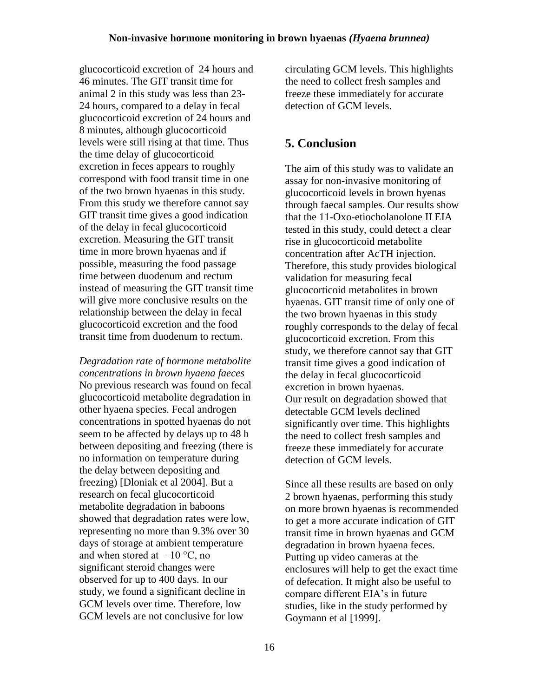glucocorticoid excretion of 24 hours and 46 minutes. The GIT transit time for animal 2 in this study was less than 23- 24 hours, compared to a delay in fecal glucocorticoid excretion of 24 hours and 8 minutes, although glucocorticoid levels were still rising at that time. Thus the time delay of glucocorticoid excretion in feces appears to roughly correspond with food transit time in one of the two brown hyaenas in this study. From this study we therefore cannot say GIT transit time gives a good indication of the delay in fecal glucocorticoid excretion. Measuring the GIT transit time in more brown hyaenas and if possible, measuring the food passage time between duodenum and rectum instead of measuring the GIT transit time will give more conclusive results on the relationship between the delay in fecal glucocorticoid excretion and the food transit time from duodenum to rectum.

*Degradation rate of hormone metabolite concentrations in brown hyaena faeces* No previous research was found on fecal glucocorticoid metabolite degradation in other hyaena species. Fecal androgen concentrations in spotted hyaenas do not seem to be affected by delays up to 48 h between depositing and freezing (there is no information on temperature during the delay between depositing and freezing) [Dloniak et al 2004]. But a research on fecal glucocorticoid metabolite degradation in baboons showed that degradation rates were low, representing no more than 9.3% over 30 days of storage at ambient temperature and when stored at  $-10$  °C, no significant steroid changes were observed for up to 400 days. In our study, we found a significant decline in GCM levels over time. Therefore, low GCM levels are not conclusive for low

circulating GCM levels. This highlights the need to collect fresh samples and freeze these immediately for accurate detection of GCM levels.

## **5. Conclusion**

The aim of this study was to validate an assay for non-invasive monitoring of glucocorticoid levels in brown hyenas through faecal samples. Our results show that the 11-Oxo-etiocholanolone II EIA tested in this study, could detect a clear rise in glucocorticoid metabolite concentration after AcTH injection. Therefore, this study provides biological validation for measuring fecal glucocorticoid metabolites in brown hyaenas. GIT transit time of only one of the two brown hyaenas in this study roughly corresponds to the delay of fecal glucocorticoid excretion. From this study, we therefore cannot say that GIT transit time gives a good indication of the delay in fecal glucocorticoid excretion in brown hyaenas. Our result on degradation showed that detectable GCM levels declined significantly over time. This highlights the need to collect fresh samples and freeze these immediately for accurate detection of GCM levels.

Since all these results are based on only 2 brown hyaenas, performing this study on more brown hyaenas is recommended to get a more accurate indication of GIT transit time in brown hyaenas and GCM degradation in brown hyaena feces. Putting up video cameras at the enclosures will help to get the exact time of defecation. It might also be useful to compare different EIA's in future studies, like in the study performed by Goymann et al [1999].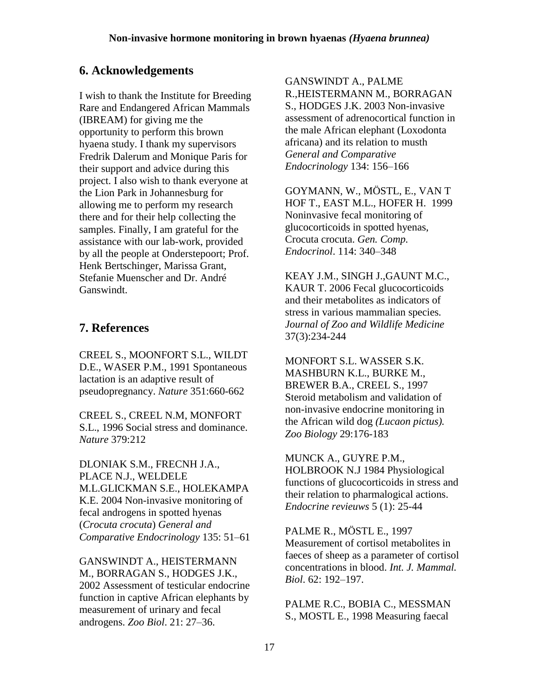## **6. Acknowledgements**

I wish to thank the Institute for Breeding Rare and Endangered African Mammals (IBREAM) for giving me the opportunity to perform this brown hyaena study. I thank my supervisors Fredrik Dalerum and Monique Paris for their support and advice during this project. I also wish to thank everyone at the Lion Park in Johannesburg for allowing me to perform my research there and for their help collecting the samples. Finally, I am grateful for the assistance with our lab-work, provided by all the people at Onderstepoort; Prof. Henk Bertschinger, Marissa Grant, Stefanie Muenscher and Dr. André Ganswindt.

# **7. References**

CREEL S., MOONFORT S.L., WILDT D.E., WASER P.M., 1991 Spontaneous lactation is an adaptive result of pseudopregnancy. *Nature* 351:660-662

CREEL S., CREEL N.M, MONFORT S.L., 1996 Social stress and dominance. *Nature* 379:212

DLONIAK S.M., FRECNH J.A., PLACE N.J., WELDELE M.L.GLICKMAN S.E., HOLEKAMPA K.E. 2004 Non-invasive monitoring of fecal androgens in spotted hyenas (*Crocuta crocuta*) *General and Comparative Endocrinology* 135: 51–61

GANSWINDT A., HEISTERMANN M., BORRAGAN S., HODGES J.K., 2002 Assessment of testicular endocrine function in captive African elephants by measurement of urinary and fecal androgens. *Zoo Biol*. 21: 27–36.

GANSWINDT A., PALME R.,HEISTERMANN M., BORRAGAN S., HODGES J.K. 2003 Non-invasive assessment of adrenocortical function in the male African elephant (Loxodonta africana) and its relation to musth *General and Comparative Endocrinology* 134: 156–166

GOYMANN, W., MÖSTL, E., VAN T HOF T., EAST M.L., HOFER H. 1999 Noninvasive fecal monitoring of glucocorticoids in spotted hyenas, Crocuta crocuta. *Gen. Comp. Endocrinol*. 114: 340–348

KEAY J.M., SINGH J.,GAUNT M.C., KAUR T. 2006 Fecal glucocorticoids and their metabolites as indicators of stress in various mammalian species*. Journal of Zoo and Wildlife Medicine* 37(3):234-244

MONFORT S.L. WASSER S.K. MASHBURN K.L., BURKE M., BREWER B.A., CREEL S., 1997 Steroid metabolism and validation of non-invasive endocrine monitoring in the African wild dog *(Lucaon pictus). Zoo Biology* 29:176-183

MUNCK A., GUYRE P.M., HOLBROOK N.J 1984 Physiological functions of glucocorticoids in stress and their relation to pharmalogical actions. *Endocrine revieuws* 5 (1): 25-44

PALME R., MÖSTL E., 1997 Measurement of cortisol metabolites in faeces of sheep as a parameter of cortisol concentrations in blood. *Int. J. Mammal. Biol*. 62: 192–197.

PALME R.C., BOBIA C., MESSMAN S., MOSTL E., 1998 Measuring faecal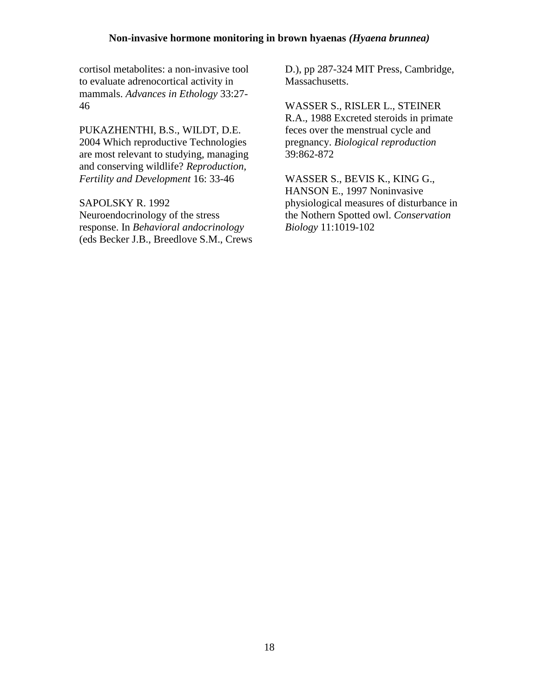#### **Non-invasive hormone monitoring in brown hyaenas** *(Hyaena brunnea)*

cortisol metabolites: a non-invasive tool to evaluate adrenocortical activity in mammals. *Advances in Ethology* 33:27- 46

PUKAZHENTHI, B.S., WILDT, D.E. 2004 Which reproductive Technologies are most relevant to studying, managing and conserving wildlife? *Reproduction, Fertility and Development* 16: 33-46

SAPOLSKY R. 1992 Neuroendocrinology of the stress response. In *Behavioral andocrinology* (eds Becker J.B., Breedlove S.M., Crews D.), pp 287-324 MIT Press, Cambridge, Massachusetts.

WASSER S., RISLER L., STEINER R.A., 1988 Excreted steroids in primate feces over the menstrual cycle and pregnancy. *Biological reproduction*  39:862-872

WASSER S., BEVIS K., KING G., HANSON E., 1997 Noninvasive physiological measures of disturbance in the Nothern Spotted owl. *Conservation Biology* 11:1019-102